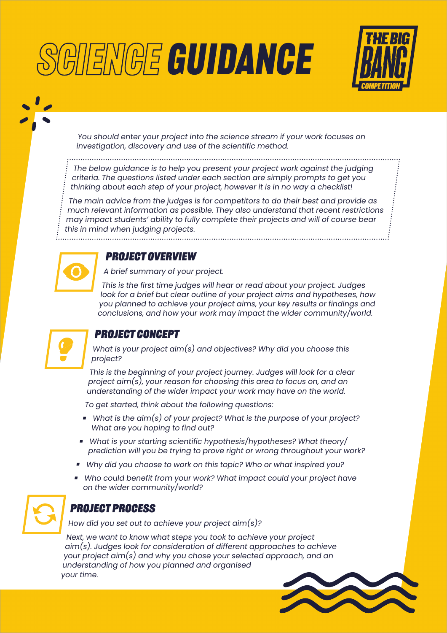# **GIIENGE GUIDANCE**



You should enter your project into the science stream if your work focuses on investigation, discovery and use of the scientific method.

The below guidance is to help you present your project work against the judging criteria. The questions listed under each section are simply prompts to get you thinking about each step of your project, however it is in no way a checklist!

The main advice from the judges is for competitors to do their best and provide as much relevant information as possible. They also understand that recent restrictions may impact students' ability to fully complete their projects and will of course bear this in mind when judging projects.



WIN

#### **Project overview**

A brief summary of your project.

This is the first time judges will hear or read about your project. Judges look for a brief but clear outline of your project aims and hypotheses, how you planned to achieve your project aims, your key results or findings and conclusions, and how your work may impact the wider community/world.



# **Project concept**

What is your project aim(s) and objectives? Why did you choose this project?

This is the beginning of your project journey. Judges will look for a clear project aim(s), your reason for choosing this area to focus on, and an understanding of the wider impact your work may have on the world.

To get started, think about the following questions:

- What is the aim(s) of your project? What is the purpose of your project? What are you hoping to find out?
- What is your starting scientific hypothesis/hypotheses? What theory/ prediction will you be trying to prove right or wrong throughout your work?
- Why did you choose to work on this topic? Who or what inspired you?
- Who could benefit from your work? What impact could your project have on the wider community/world?



## **Project process**

How did you set out to achieve your project aim(s)?

Next, we want to know what steps you took to achieve your project aim(s). Judges look for consideration of different approaches to achieve your project aim(s) and why you chose your selected approach, and an understanding of how you planned and organised your time.

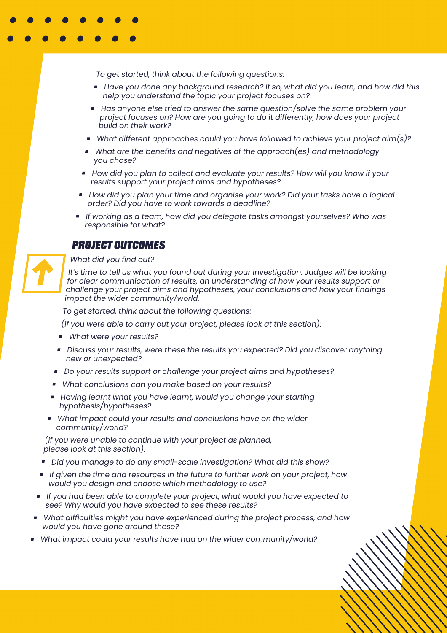To get started, think about the following questions:

- Have you done any backaround research? If so, what did you learn, and how did this help you understand the topic your project focuses on?
- Has anyone else tried to answer the same question/solve the same problem your project focuses on? How are you going to do it differently, how does your project build on their work?
- What different approaches could you have followed to achieve your project aim(s)?
- What are the benefits and negatives of the approach(es) and methodology you chose?
- How did you plan to collect and evaluate your results? How will you know if your results support your project aims and hypotheses?
- $\blacksquare$  How did you plan your time and organise your work? Did your tasks have a logical order? Did you have to work towards a deadline?
- If working as a team, how did you delegate tasks amongst yourselves? Who was responsible for what?

#### **Project outcomes**



What did you find out?

It's time to tell us what you found out during your investigation. Judges will be looking for clear communication of results, an understanding of how your results support or challenge your project aims and hypotheses, your conclusions and how your findings impact the wider community/world.

To get started, think about the following questions:

(if you were able to carry out your project, please look at this section):

- What were your results?
- **Discuss your results, were these the results you expected? Did you discover anything** new or unexpected?
- Do your results support or challenge your project aims and hypotheses?
- What conclusions can you make based on your results?
- **H** Having learnt what you have learnt, would you change your starting hypothesis/hypotheses?
- What impact could your results and conclusions have on the wider community/world?

(if you were unable to continue with your project as planned, <sup>p</sup>lease look at this section):

- Did you manage to do any small-scale investigation? What did this show?
- If given the time and resources in the future to further work on your project, how would you design and choose which methodology to use?
- If you had been able to complete your project, what would you have expected to see? Why would you have expected to see these results?
- What difficulties might you have experienced during the project process, and how would you have gone around these?
- What impact could your results have had on the wider community/world?